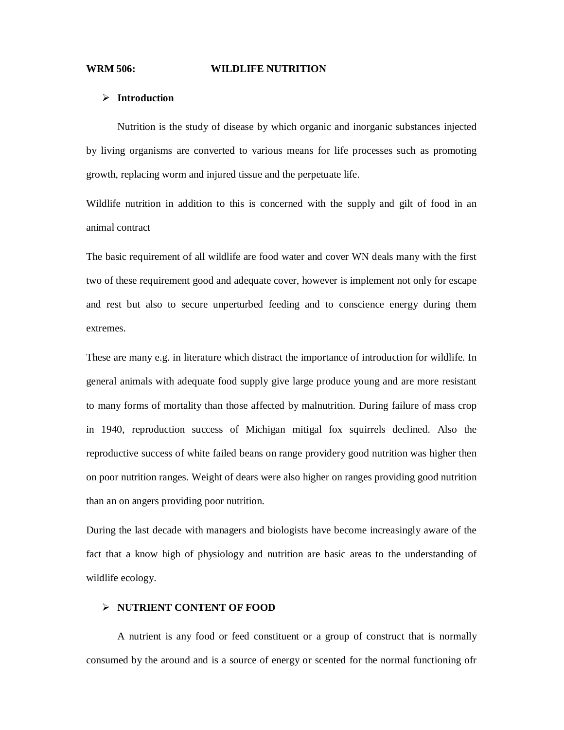#### **WRM 506: WILDLIFE NUTRITION**

#### **Introduction**

Nutrition is the study of disease by which organic and inorganic substances injected by living organisms are converted to various means for life processes such as promoting growth, replacing worm and injured tissue and the perpetuate life.

Wildlife nutrition in addition to this is concerned with the supply and gilt of food in an animal contract

The basic requirement of all wildlife are food water and cover WN deals many with the first two of these requirement good and adequate cover, however is implement not only for escape and rest but also to secure unperturbed feeding and to conscience energy during them extremes.

These are many e.g. in literature which distract the importance of introduction for wildlife. In general animals with adequate food supply give large produce young and are more resistant to many forms of mortality than those affected by malnutrition. During failure of mass crop in 1940, reproduction success of Michigan mitigal fox squirrels declined. Also the reproductive success of white failed beans on range providery good nutrition was higher then on poor nutrition ranges. Weight of dears were also higher on ranges providing good nutrition than an on angers providing poor nutrition.

During the last decade with managers and biologists have become increasingly aware of the fact that a know high of physiology and nutrition are basic areas to the understanding of wildlife ecology.

### **NUTRIENT CONTENT OF FOOD**

A nutrient is any food or feed constituent or a group of construct that is normally consumed by the around and is a source of energy or scented for the normal functioning ofr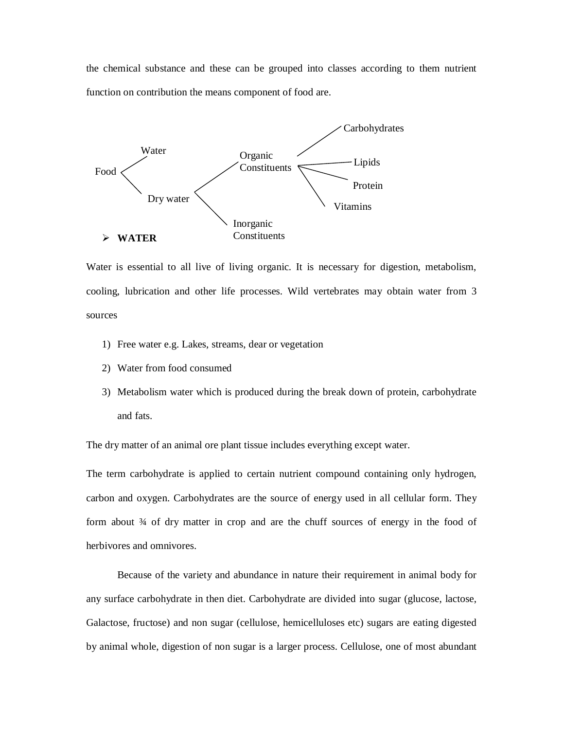the chemical substance and these can be grouped into classes according to them nutrient function on contribution the means component of food are.



Water is essential to all live of living organic. It is necessary for digestion, metabolism, cooling, lubrication and other life processes. Wild vertebrates may obtain water from 3 sources

- 1) Free water e.g. Lakes, streams, dear or vegetation
- 2) Water from food consumed
- 3) Metabolism water which is produced during the break down of protein, carbohydrate and fats.

The dry matter of an animal ore plant tissue includes everything except water.

The term carbohydrate is applied to certain nutrient compound containing only hydrogen, carbon and oxygen. Carbohydrates are the source of energy used in all cellular form. They form about  $\frac{3}{4}$  of dry matter in crop and are the chuff sources of energy in the food of herbivores and omnivores.

Because of the variety and abundance in nature their requirement in animal body for any surface carbohydrate in then diet. Carbohydrate are divided into sugar (glucose, lactose, Galactose, fructose) and non sugar (cellulose, hemicelluloses etc) sugars are eating digested by animal whole, digestion of non sugar is a larger process. Cellulose, one of most abundant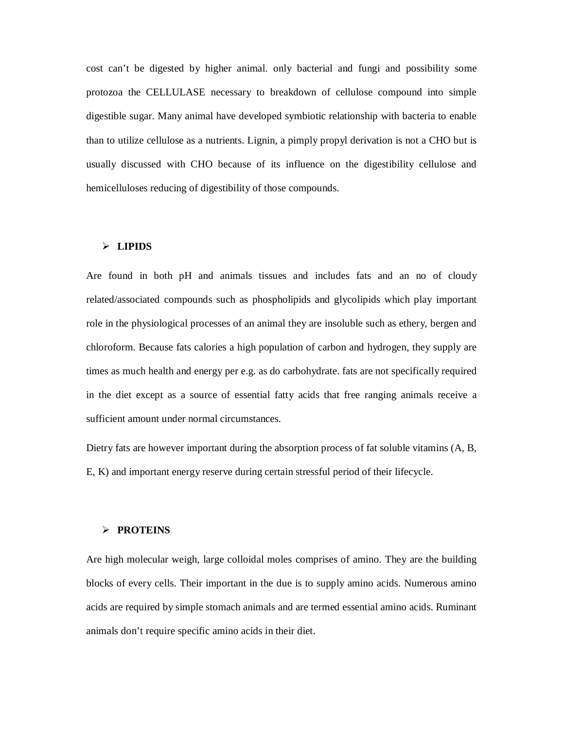cost can't be digested by higher animal. only bacterial and fungi and possibility some protozoa the CELLULASE necessary to breakdown of cellulose compound into simple digestible sugar. Many animal have developed symbiotic relationship with bacteria to enable than to utilize cellulose as a nutrients. Lignin, a pimply propyl derivation is not a CHO but is usually discussed with CHO because of its influence on the digestibility cellulose and hemicelluloses reducing of digestibility of those compounds.

### **LIPIDS**

Are found in both pH and animals tissues and includes fats and an no of cloudy related/associated compounds such as phospholipids and glycolipids which play important role in the physiological processes of an animal they are insoluble such as ethery, bergen and chloroform. Because fats calories a high population of carbon and hydrogen, they supply are times as much health and energy per e.g. as do carbohydrate. fats are not specifically required in the diet except as a source of essential fatty acids that free ranging animals receive a sufficient amount under normal circumstances.

Dietry fats are however important during the absorption process of fat soluble vitamins (A, B, E, K) and important energy reserve during certain stressful period of their lifecycle.

## **PROTEINS**

Are high molecular weigh, large colloidal moles comprises of amino. They are the building blocks of every cells. Their important in the due is to supply amino acids. Numerous amino acids are required by simple stomach animals and are termed essential amino acids. Ruminant animals don't require specific amino acids in their diet.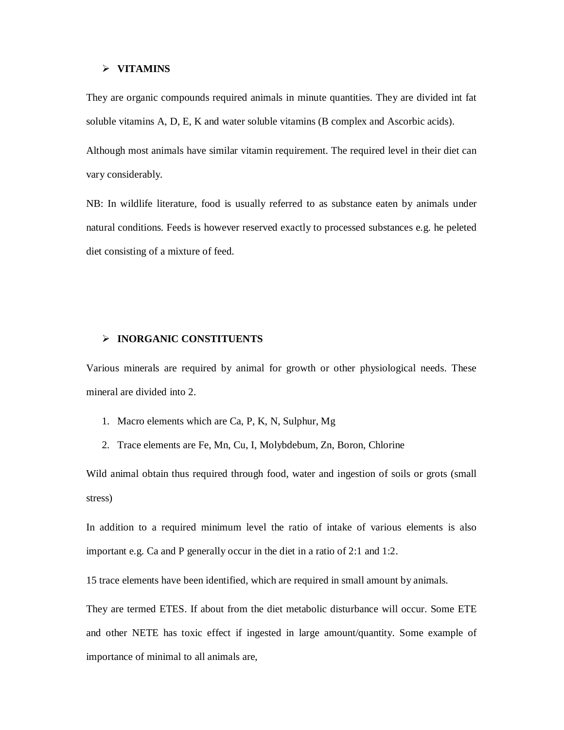#### **VITAMINS**

They are organic compounds required animals in minute quantities. They are divided int fat soluble vitamins A, D, E, K and water soluble vitamins (B complex and Ascorbic acids).

Although most animals have similar vitamin requirement. The required level in their diet can vary considerably.

NB: In wildlife literature, food is usually referred to as substance eaten by animals under natural conditions. Feeds is however reserved exactly to processed substances e.g. he peleted diet consisting of a mixture of feed.

#### **INORGANIC CONSTITUENTS**

Various minerals are required by animal for growth or other physiological needs. These mineral are divided into 2.

- 1. Macro elements which are Ca, P, K, N, Sulphur, Mg
- 2. Trace elements are Fe, Mn, Cu, I, Molybdebum, Zn, Boron, Chlorine

Wild animal obtain thus required through food, water and ingestion of soils or grots (small stress)

In addition to a required minimum level the ratio of intake of various elements is also important e.g. Ca and P generally occur in the diet in a ratio of 2:1 and 1:2.

15 trace elements have been identified, which are required in small amount by animals.

They are termed ETES. If about from the diet metabolic disturbance will occur. Some ETE and other NETE has toxic effect if ingested in large amount/quantity. Some example of importance of minimal to all animals are,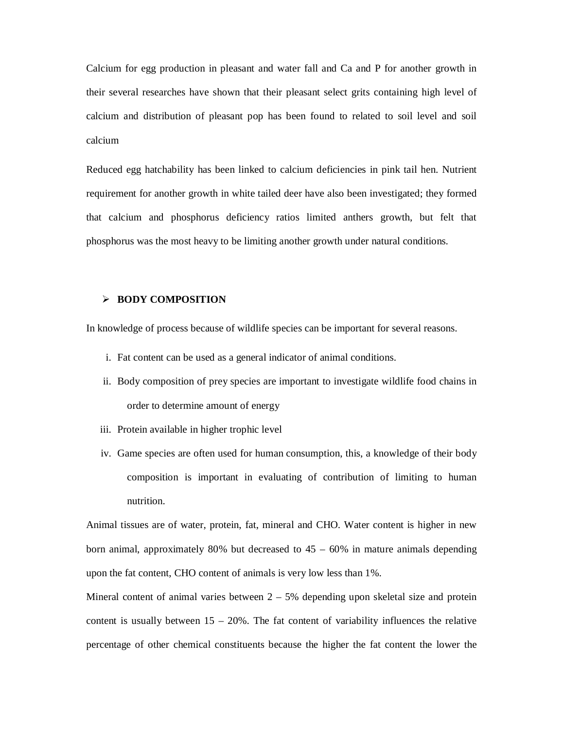Calcium for egg production in pleasant and water fall and Ca and P for another growth in their several researches have shown that their pleasant select grits containing high level of calcium and distribution of pleasant pop has been found to related to soil level and soil calcium

Reduced egg hatchability has been linked to calcium deficiencies in pink tail hen. Nutrient requirement for another growth in white tailed deer have also been investigated; they formed that calcium and phosphorus deficiency ratios limited anthers growth, but felt that phosphorus was the most heavy to be limiting another growth under natural conditions.

# **BODY COMPOSITION**

In knowledge of process because of wildlife species can be important for several reasons.

- i. Fat content can be used as a general indicator of animal conditions.
- ii. Body composition of prey species are important to investigate wildlife food chains in order to determine amount of energy
- iii. Protein available in higher trophic level
- iv. Game species are often used for human consumption, this, a knowledge of their body composition is important in evaluating of contribution of limiting to human nutrition.

Animal tissues are of water, protein, fat, mineral and CHO. Water content is higher in new born animal, approximately 80% but decreased to  $45 - 60\%$  in mature animals depending upon the fat content, CHO content of animals is very low less than 1%.

Mineral content of animal varies between  $2 - 5%$  depending upon skeletal size and protein content is usually between  $15 - 20\%$ . The fat content of variability influences the relative percentage of other chemical constituents because the higher the fat content the lower the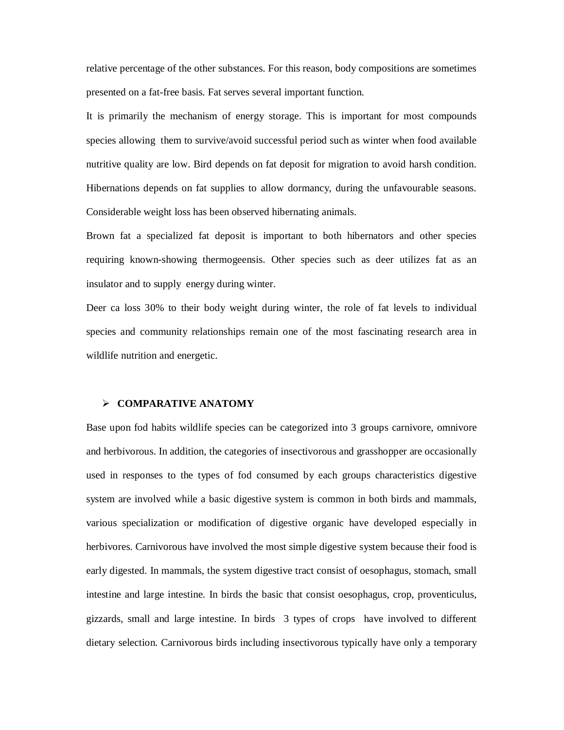relative percentage of the other substances. For this reason, body compositions are sometimes presented on a fat-free basis. Fat serves several important function.

It is primarily the mechanism of energy storage. This is important for most compounds species allowing them to survive/avoid successful period such as winter when food available nutritive quality are low. Bird depends on fat deposit for migration to avoid harsh condition. Hibernations depends on fat supplies to allow dormancy, during the unfavourable seasons. Considerable weight loss has been observed hibernating animals.

Brown fat a specialized fat deposit is important to both hibernators and other species requiring known-showing thermogeensis. Other species such as deer utilizes fat as an insulator and to supply energy during winter.

Deer ca loss 30% to their body weight during winter, the role of fat levels to individual species and community relationships remain one of the most fascinating research area in wildlife nutrition and energetic.

#### **COMPARATIVE ANATOMY**

Base upon fod habits wildlife species can be categorized into 3 groups carnivore, omnivore and herbivorous. In addition, the categories of insectivorous and grasshopper are occasionally used in responses to the types of fod consumed by each groups characteristics digestive system are involved while a basic digestive system is common in both birds and mammals, various specialization or modification of digestive organic have developed especially in herbivores. Carnivorous have involved the most simple digestive system because their food is early digested. In mammals, the system digestive tract consist of oesophagus, stomach, small intestine and large intestine. In birds the basic that consist oesophagus, crop, proventiculus, gizzards, small and large intestine. In birds 3 types of crops have involved to different dietary selection. Carnivorous birds including insectivorous typically have only a temporary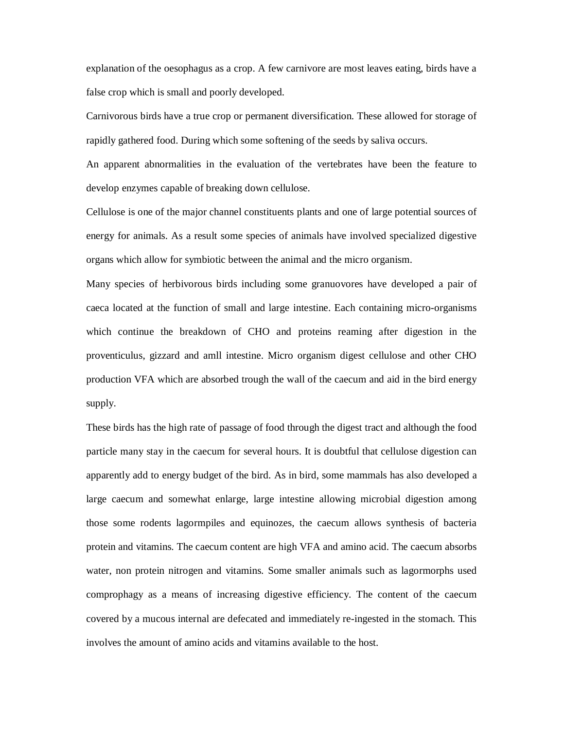explanation of the oesophagus as a crop. A few carnivore are most leaves eating, birds have a false crop which is small and poorly developed.

Carnivorous birds have a true crop or permanent diversification. These allowed for storage of rapidly gathered food. During which some softening of the seeds by saliva occurs.

An apparent abnormalities in the evaluation of the vertebrates have been the feature to develop enzymes capable of breaking down cellulose.

Cellulose is one of the major channel constituents plants and one of large potential sources of energy for animals. As a result some species of animals have involved specialized digestive organs which allow for symbiotic between the animal and the micro organism.

Many species of herbivorous birds including some granuovores have developed a pair of caeca located at the function of small and large intestine. Each containing micro-organisms which continue the breakdown of CHO and proteins reaming after digestion in the proventiculus, gizzard and amll intestine. Micro organism digest cellulose and other CHO production VFA which are absorbed trough the wall of the caecum and aid in the bird energy supply.

These birds has the high rate of passage of food through the digest tract and although the food particle many stay in the caecum for several hours. It is doubtful that cellulose digestion can apparently add to energy budget of the bird. As in bird, some mammals has also developed a large caecum and somewhat enlarge, large intestine allowing microbial digestion among those some rodents lagormpiles and equinozes, the caecum allows synthesis of bacteria protein and vitamins. The caecum content are high VFA and amino acid. The caecum absorbs water, non protein nitrogen and vitamins. Some smaller animals such as lagormorphs used comprophagy as a means of increasing digestive efficiency. The content of the caecum covered by a mucous internal are defecated and immediately re-ingested in the stomach. This involves the amount of amino acids and vitamins available to the host.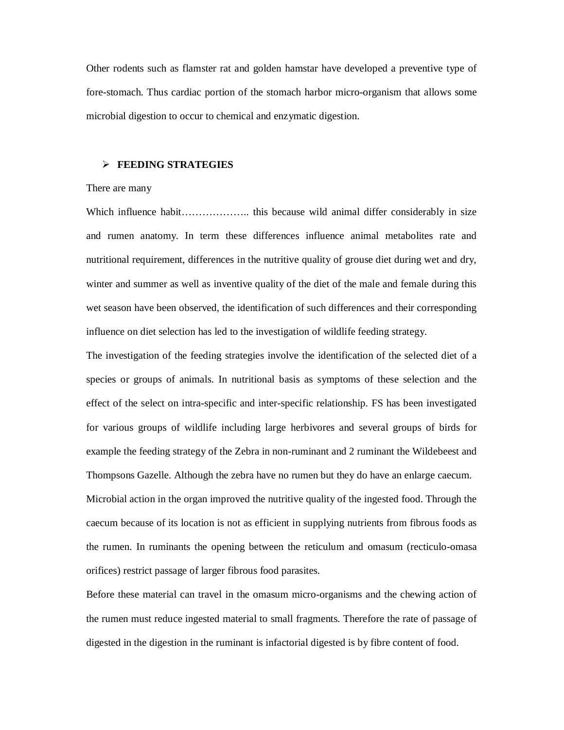Other rodents such as flamster rat and golden hamstar have developed a preventive type of fore-stomach. Thus cardiac portion of the stomach harbor micro-organism that allows some microbial digestion to occur to chemical and enzymatic digestion.

# **FEEDING STRATEGIES**

#### There are many

Which influence habit………………….. this because wild animal differ considerably in size and rumen anatomy. In term these differences influence animal metabolites rate and nutritional requirement, differences in the nutritive quality of grouse diet during wet and dry, winter and summer as well as inventive quality of the diet of the male and female during this wet season have been observed, the identification of such differences and their corresponding influence on diet selection has led to the investigation of wildlife feeding strategy.

The investigation of the feeding strategies involve the identification of the selected diet of a species or groups of animals. In nutritional basis as symptoms of these selection and the effect of the select on intra-specific and inter-specific relationship. FS has been investigated for various groups of wildlife including large herbivores and several groups of birds for example the feeding strategy of the Zebra in non-ruminant and 2 ruminant the Wildebeest and Thompsons Gazelle. Although the zebra have no rumen but they do have an enlarge caecum. Microbial action in the organ improved the nutritive quality of the ingested food. Through the caecum because of its location is not as efficient in supplying nutrients from fibrous foods as the rumen. In ruminants the opening between the reticulum and omasum (recticulo-omasa orifices) restrict passage of larger fibrous food parasites.

Before these material can travel in the omasum micro-organisms and the chewing action of the rumen must reduce ingested material to small fragments. Therefore the rate of passage of digested in the digestion in the ruminant is infactorial digested is by fibre content of food.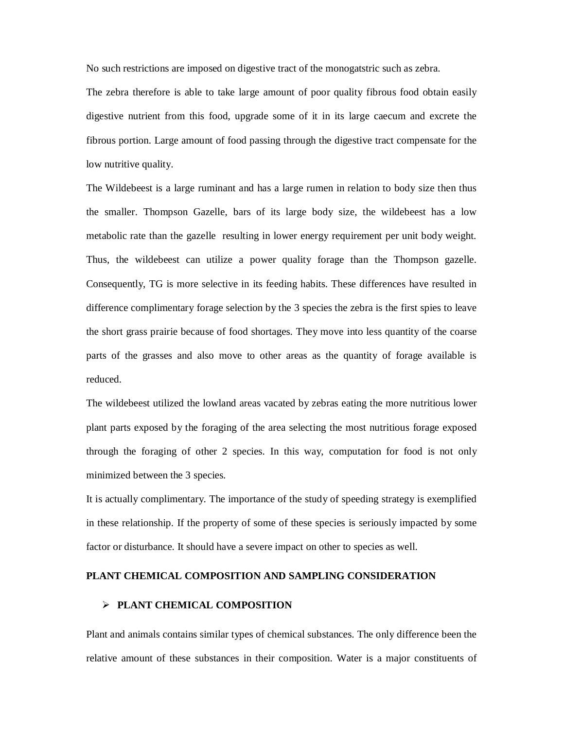No such restrictions are imposed on digestive tract of the monogatstric such as zebra.

The zebra therefore is able to take large amount of poor quality fibrous food obtain easily digestive nutrient from this food, upgrade some of it in its large caecum and excrete the fibrous portion. Large amount of food passing through the digestive tract compensate for the low nutritive quality.

The Wildebeest is a large ruminant and has a large rumen in relation to body size then thus the smaller. Thompson Gazelle, bars of its large body size, the wildebeest has a low metabolic rate than the gazelle resulting in lower energy requirement per unit body weight. Thus, the wildebeest can utilize a power quality forage than the Thompson gazelle. Consequently, TG is more selective in its feeding habits. These differences have resulted in difference complimentary forage selection by the 3 species the zebra is the first spies to leave the short grass prairie because of food shortages. They move into less quantity of the coarse parts of the grasses and also move to other areas as the quantity of forage available is reduced.

The wildebeest utilized the lowland areas vacated by zebras eating the more nutritious lower plant parts exposed by the foraging of the area selecting the most nutritious forage exposed through the foraging of other 2 species. In this way, computation for food is not only minimized between the 3 species.

It is actually complimentary. The importance of the study of speeding strategy is exemplified in these relationship. If the property of some of these species is seriously impacted by some factor or disturbance. It should have a severe impact on other to species as well.

### **PLANT CHEMICAL COMPOSITION AND SAMPLING CONSIDERATION**

# **PLANT CHEMICAL COMPOSITION**

Plant and animals contains similar types of chemical substances. The only difference been the relative amount of these substances in their composition. Water is a major constituents of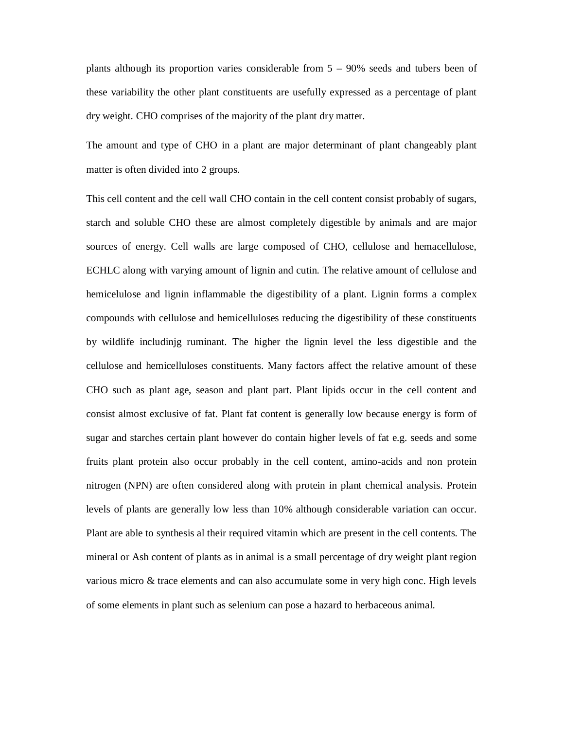plants although its proportion varies considerable from  $5 - 90\%$  seeds and tubers been of these variability the other plant constituents are usefully expressed as a percentage of plant dry weight. CHO comprises of the majority of the plant dry matter.

The amount and type of CHO in a plant are major determinant of plant changeably plant matter is often divided into 2 groups.

This cell content and the cell wall CHO contain in the cell content consist probably of sugars, starch and soluble CHO these are almost completely digestible by animals and are major sources of energy. Cell walls are large composed of CHO, cellulose and hemacellulose, ECHLC along with varying amount of lignin and cutin. The relative amount of cellulose and hemicelulose and lignin inflammable the digestibility of a plant. Lignin forms a complex compounds with cellulose and hemicelluloses reducing the digestibility of these constituents by wildlife includinjg ruminant. The higher the lignin level the less digestible and the cellulose and hemicelluloses constituents. Many factors affect the relative amount of these CHO such as plant age, season and plant part. Plant lipids occur in the cell content and consist almost exclusive of fat. Plant fat content is generally low because energy is form of sugar and starches certain plant however do contain higher levels of fat e.g. seeds and some fruits plant protein also occur probably in the cell content, amino-acids and non protein nitrogen (NPN) are often considered along with protein in plant chemical analysis. Protein levels of plants are generally low less than 10% although considerable variation can occur. Plant are able to synthesis al their required vitamin which are present in the cell contents. The mineral or Ash content of plants as in animal is a small percentage of dry weight plant region various micro & trace elements and can also accumulate some in very high conc. High levels of some elements in plant such as selenium can pose a hazard to herbaceous animal.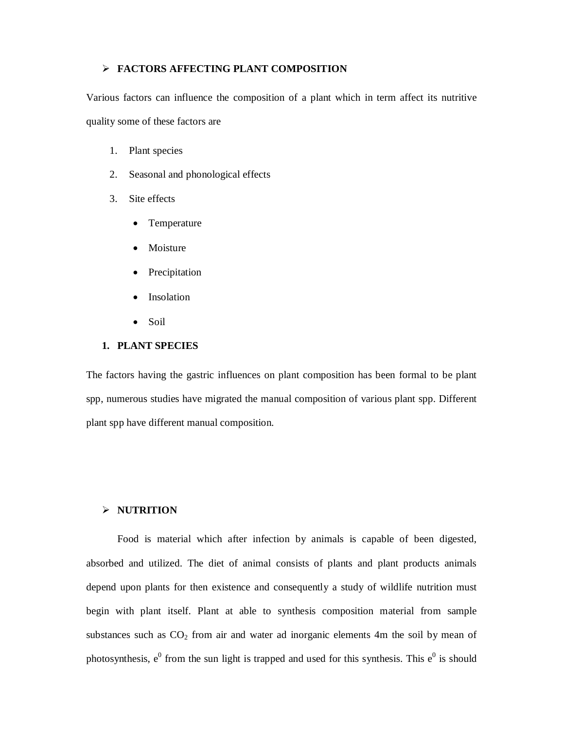# **FACTORS AFFECTING PLANT COMPOSITION**

Various factors can influence the composition of a plant which in term affect its nutritive quality some of these factors are

- 1. Plant species
- 2. Seasonal and phonological effects
- 3. Site effects
	- Temperature
	- Moisture
	- Precipitation
	- Insolation
	- $\bullet$  Soil

# **1. PLANT SPECIES**

The factors having the gastric influences on plant composition has been formal to be plant spp, numerous studies have migrated the manual composition of various plant spp. Different plant spp have different manual composition.

# **NUTRITION**

Food is material which after infection by animals is capable of been digested, absorbed and utilized. The diet of animal consists of plants and plant products animals depend upon plants for then existence and consequently a study of wildlife nutrition must begin with plant itself. Plant at able to synthesis composition material from sample substances such as  $CO<sub>2</sub>$  from air and water ad inorganic elements 4m the soil by mean of photosynthesis,  $e^{0}$  from the sun light is trapped and used for this synthesis. This  $e^{0}$  is should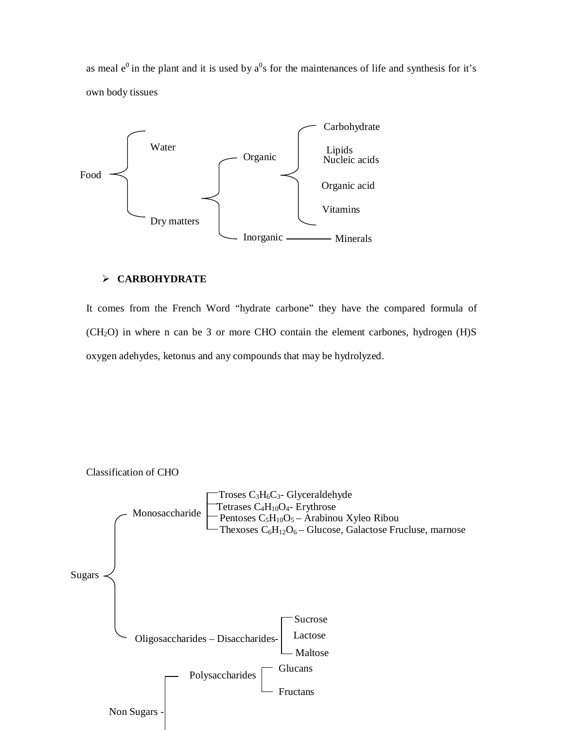as meal  $e^{0}$  in the plant and it is used by  $a^{0}s$  for the maintenances of life and synthesis for it's own body tissues



# **CARBOHYDRATE**

It comes from the French Word "hydrate carbone" they have the compared formula of (CH2O) in where n can be 3 or more CHO contain the element carbones, hydrogen (H)S oxygen adehydes, ketonus and any compounds that may be hydrolyzed.



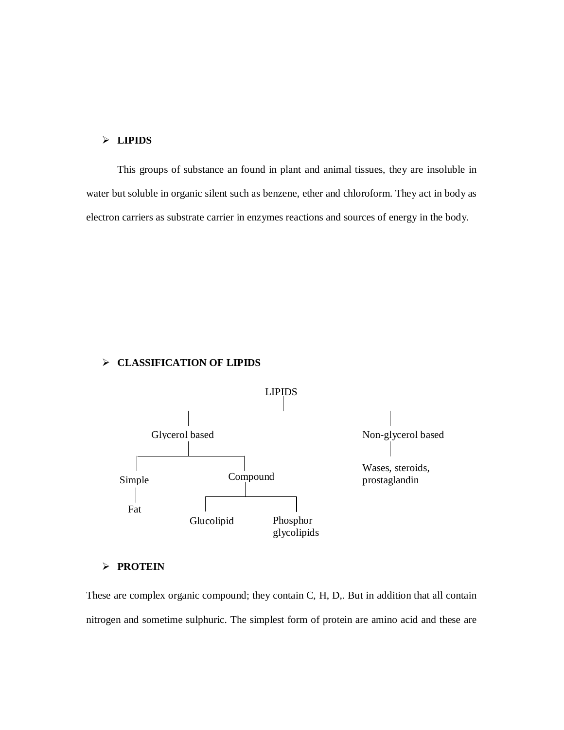# **LIPIDS**

This groups of substance an found in plant and animal tissues, they are insoluble in water but soluble in organic silent such as benzene, ether and chloroform. They act in body as electron carriers as substrate carrier in enzymes reactions and sources of energy in the body.

# **CLASSIFICATION OF LIPIDS**



# **PROTEIN**

These are complex organic compound; they contain C, H, D,. But in addition that all contain nitrogen and sometime sulphuric. The simplest form of protein are amino acid and these are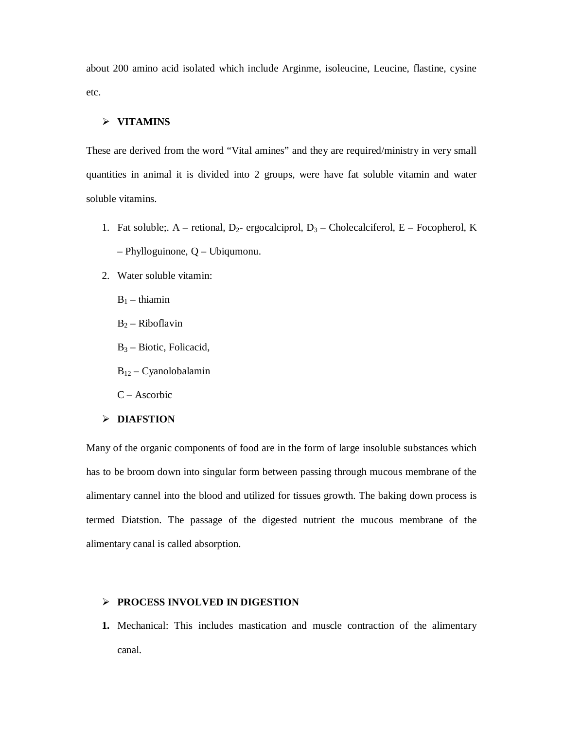about 200 amino acid isolated which include Arginme, isoleucine, Leucine, flastine, cysine etc.

# **VITAMINS**

These are derived from the word "Vital amines" and they are required/ministry in very small quantities in animal it is divided into 2 groups, were have fat soluble vitamin and water soluble vitamins.

- 1. Fat soluble;. A retional,  $D_2$  ergocalciprol,  $D_3$  Cholecalciferol, E Focopherol, K – Phylloguinone, Q – Ubiqumonu.
- 2. Water soluble vitamin:
	- $B_1$  thiamin
	- $B_2$  Riboflavin
	- $B_3$  Biotic, Folicacid,
	- B<sup>12</sup> Cyanolobalamin
	- C Ascorbic

#### **DIAFSTION**

Many of the organic components of food are in the form of large insoluble substances which has to be broom down into singular form between passing through mucous membrane of the alimentary cannel into the blood and utilized for tissues growth. The baking down process is termed Diatstion. The passage of the digested nutrient the mucous membrane of the alimentary canal is called absorption.

### **PROCESS INVOLVED IN DIGESTION**

**1.** Mechanical: This includes mastication and muscle contraction of the alimentary canal.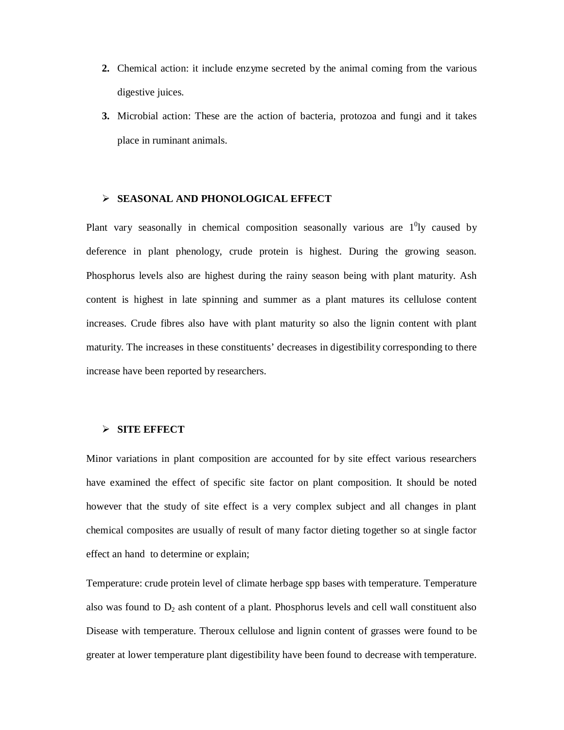- **2.** Chemical action: it include enzyme secreted by the animal coming from the various digestive juices.
- **3.** Microbial action: These are the action of bacteria, protozoa and fungi and it takes place in ruminant animals.

#### **SEASONAL AND PHONOLOGICAL EFFECT**

Plant vary seasonally in chemical composition seasonally various are  $1^0$ ly caused by deference in plant phenology, crude protein is highest. During the growing season. Phosphorus levels also are highest during the rainy season being with plant maturity. Ash content is highest in late spinning and summer as a plant matures its cellulose content increases. Crude fibres also have with plant maturity so also the lignin content with plant maturity. The increases in these constituents' decreases in digestibility corresponding to there increase have been reported by researchers.

# **SITE EFFECT**

Minor variations in plant composition are accounted for by site effect various researchers have examined the effect of specific site factor on plant composition. It should be noted however that the study of site effect is a very complex subject and all changes in plant chemical composites are usually of result of many factor dieting together so at single factor effect an hand to determine or explain;

Temperature: crude protein level of climate herbage spp bases with temperature. Temperature also was found to  $D_2$  ash content of a plant. Phosphorus levels and cell wall constituent also Disease with temperature. Theroux cellulose and lignin content of grasses were found to be greater at lower temperature plant digestibility have been found to decrease with temperature.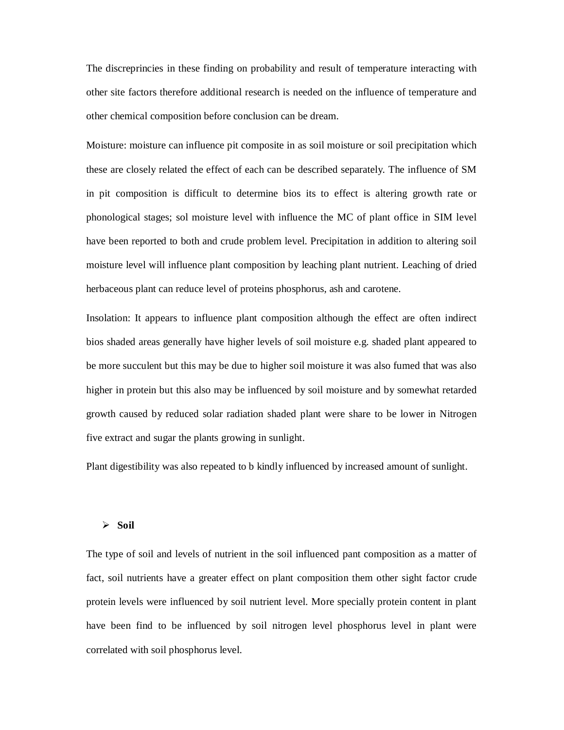The discreprincies in these finding on probability and result of temperature interacting with other site factors therefore additional research is needed on the influence of temperature and other chemical composition before conclusion can be dream.

Moisture: moisture can influence pit composite in as soil moisture or soil precipitation which these are closely related the effect of each can be described separately. The influence of SM in pit composition is difficult to determine bios its to effect is altering growth rate or phonological stages; sol moisture level with influence the MC of plant office in SIM level have been reported to both and crude problem level. Precipitation in addition to altering soil moisture level will influence plant composition by leaching plant nutrient. Leaching of dried herbaceous plant can reduce level of proteins phosphorus, ash and carotene.

Insolation: It appears to influence plant composition although the effect are often indirect bios shaded areas generally have higher levels of soil moisture e.g. shaded plant appeared to be more succulent but this may be due to higher soil moisture it was also fumed that was also higher in protein but this also may be influenced by soil moisture and by somewhat retarded growth caused by reduced solar radiation shaded plant were share to be lower in Nitrogen five extract and sugar the plants growing in sunlight.

Plant digestibility was also repeated to b kindly influenced by increased amount of sunlight.

#### $\triangleright$  Soil

The type of soil and levels of nutrient in the soil influenced pant composition as a matter of fact, soil nutrients have a greater effect on plant composition them other sight factor crude protein levels were influenced by soil nutrient level. More specially protein content in plant have been find to be influenced by soil nitrogen level phosphorus level in plant were correlated with soil phosphorus level.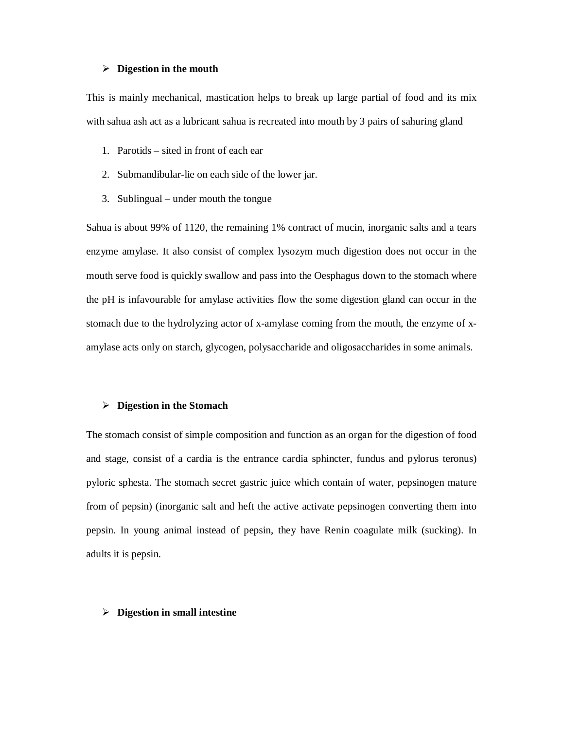#### **Digestion in the mouth**

This is mainly mechanical, mastication helps to break up large partial of food and its mix with sahua ash act as a lubricant sahua is recreated into mouth by 3 pairs of sahuring gland

- 1. Parotids sited in front of each ear
- 2. Submandibular-lie on each side of the lower jar.
- 3. Sublingual under mouth the tongue

Sahua is about 99% of 1120, the remaining 1% contract of mucin, inorganic salts and a tears enzyme amylase. It also consist of complex lysozym much digestion does not occur in the mouth serve food is quickly swallow and pass into the Oesphagus down to the stomach where the pH is infavourable for amylase activities flow the some digestion gland can occur in the stomach due to the hydrolyzing actor of x-amylase coming from the mouth, the enzyme of xamylase acts only on starch, glycogen, polysaccharide and oligosaccharides in some animals.

#### **Digestion in the Stomach**

The stomach consist of simple composition and function as an organ for the digestion of food and stage, consist of a cardia is the entrance cardia sphincter, fundus and pylorus teronus) pyloric sphesta. The stomach secret gastric juice which contain of water, pepsinogen mature from of pepsin) (inorganic salt and heft the active activate pepsinogen converting them into pepsin. In young animal instead of pepsin, they have Renin coagulate milk (sucking). In adults it is pepsin.

#### **Digestion in small intestine**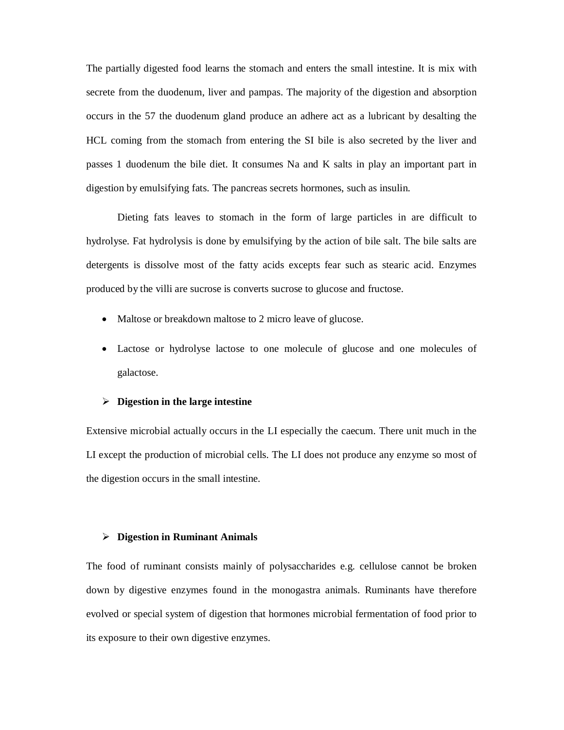The partially digested food learns the stomach and enters the small intestine. It is mix with secrete from the duodenum, liver and pampas. The majority of the digestion and absorption occurs in the 57 the duodenum gland produce an adhere act as a lubricant by desalting the HCL coming from the stomach from entering the SI bile is also secreted by the liver and passes 1 duodenum the bile diet. It consumes Na and K salts in play an important part in digestion by emulsifying fats. The pancreas secrets hormones, such as insulin.

Dieting fats leaves to stomach in the form of large particles in are difficult to hydrolyse. Fat hydrolysis is done by emulsifying by the action of bile salt. The bile salts are detergents is dissolve most of the fatty acids excepts fear such as stearic acid. Enzymes produced by the villi are sucrose is converts sucrose to glucose and fructose.

- Maltose or breakdown maltose to 2 micro leave of glucose.
- Lactose or hydrolyse lactose to one molecule of glucose and one molecules of galactose.

#### **Digestion in the large intestine**

Extensive microbial actually occurs in the LI especially the caecum. There unit much in the LI except the production of microbial cells. The LI does not produce any enzyme so most of the digestion occurs in the small intestine.

### **Digestion in Ruminant Animals**

The food of ruminant consists mainly of polysaccharides e.g. cellulose cannot be broken down by digestive enzymes found in the monogastra animals. Ruminants have therefore evolved or special system of digestion that hormones microbial fermentation of food prior to its exposure to their own digestive enzymes.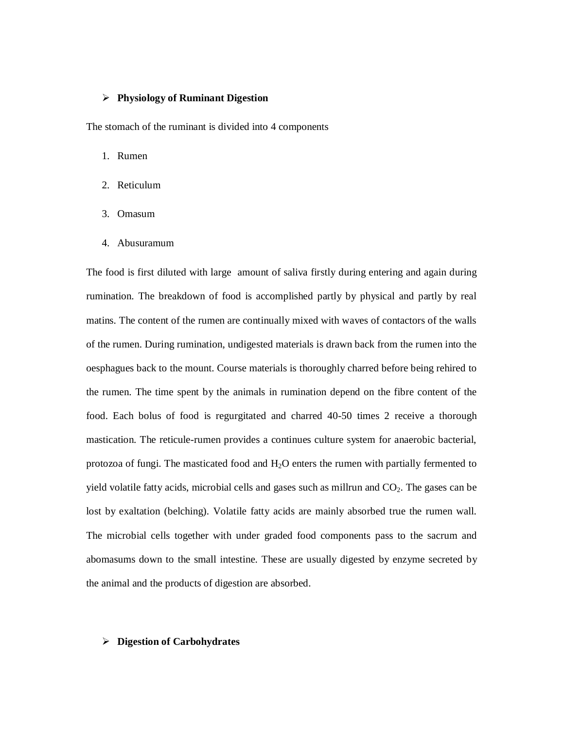### **Physiology of Ruminant Digestion**

The stomach of the ruminant is divided into 4 components

- 1. Rumen
- 2. Reticulum
- 3. Omasum
- 4. Abusuramum

The food is first diluted with large amount of saliva firstly during entering and again during rumination. The breakdown of food is accomplished partly by physical and partly by real matins. The content of the rumen are continually mixed with waves of contactors of the walls of the rumen. During rumination, undigested materials is drawn back from the rumen into the oesphagues back to the mount. Course materials is thoroughly charred before being rehired to the rumen. The time spent by the animals in rumination depend on the fibre content of the food. Each bolus of food is regurgitated and charred 40-50 times 2 receive a thorough mastication. The reticule-rumen provides a continues culture system for anaerobic bacterial, protozoa of fungi. The masticated food and  $H_2O$  enters the rumen with partially fermented to yield volatile fatty acids, microbial cells and gases such as millrun and  $CO<sub>2</sub>$ . The gases can be lost by exaltation (belching). Volatile fatty acids are mainly absorbed true the rumen wall. The microbial cells together with under graded food components pass to the sacrum and abomasums down to the small intestine. These are usually digested by enzyme secreted by the animal and the products of digestion are absorbed.

### **Digestion of Carbohydrates**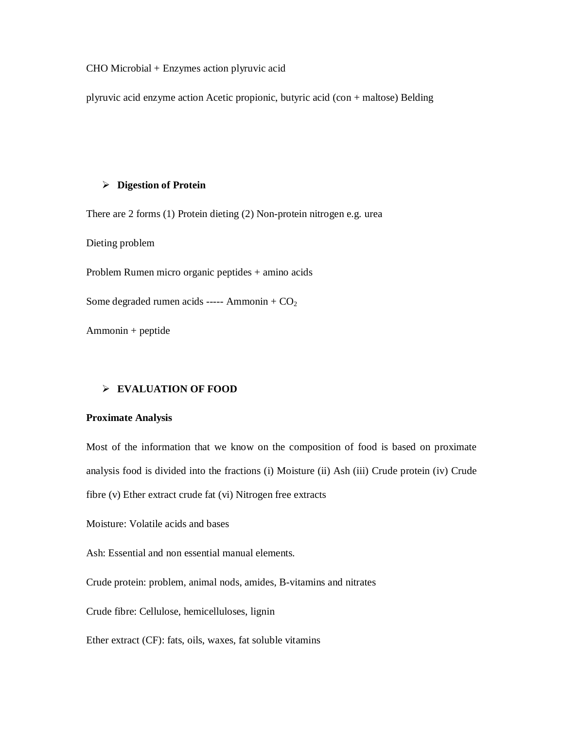CHO Microbial + Enzymes action plyruvic acid

plyruvic acid enzyme action Acetic propionic, butyric acid (con + maltose) Belding

# **Digestion of Protein**

There are 2 forms (1) Protein dieting (2) Non-protein nitrogen e.g. urea

Dieting problem

Problem Rumen micro organic peptides + amino acids

Some degraded rumen acids ----- Ammonin +  $CO<sub>2</sub>$ 

Ammonin + peptide

### **EVALUATION OF FOOD**

#### **Proximate Analysis**

Most of the information that we know on the composition of food is based on proximate analysis food is divided into the fractions (i) Moisture (ii) Ash (iii) Crude protein (iv) Crude fibre (v) Ether extract crude fat (vi) Nitrogen free extracts

Moisture: Volatile acids and bases

Ash: Essential and non essential manual elements.

Crude protein: problem, animal nods, amides, B-vitamins and nitrates

Crude fibre: Cellulose, hemicelluloses, lignin

Ether extract (CF): fats, oils, waxes, fat soluble vitamins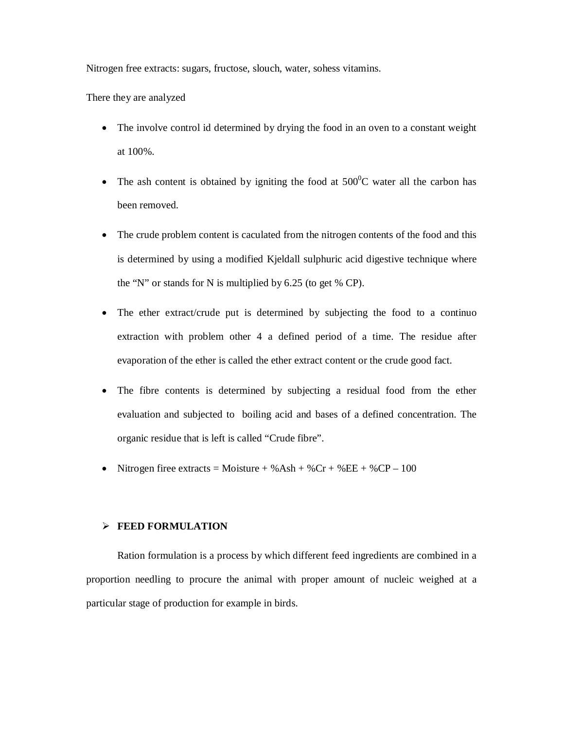Nitrogen free extracts: sugars, fructose, slouch, water, sohess vitamins.

There they are analyzed

- The involve control id determined by drying the food in an oven to a constant weight at 100%.
- The ash content is obtained by igniting the food at  $500^{\circ}$ C water all the carbon has been removed.
- The crude problem content is caculated from the nitrogen contents of the food and this is determined by using a modified Kjeldall sulphuric acid digestive technique where the "N" or stands for N is multiplied by 6.25 (to get % CP).
- The ether extract/crude put is determined by subjecting the food to a continuo extraction with problem other 4 a defined period of a time. The residue after evaporation of the ether is called the ether extract content or the crude good fact.
- The fibre contents is determined by subjecting a residual food from the ether evaluation and subjected to boiling acid and bases of a defined concentration. The organic residue that is left is called "Crude fibre".
- Nitrogen firee extracts = Moisture + %Ash + %Cr + %EE + %CP 100

# **FEED FORMULATION**

Ration formulation is a process by which different feed ingredients are combined in a proportion needling to procure the animal with proper amount of nucleic weighed at a particular stage of production for example in birds.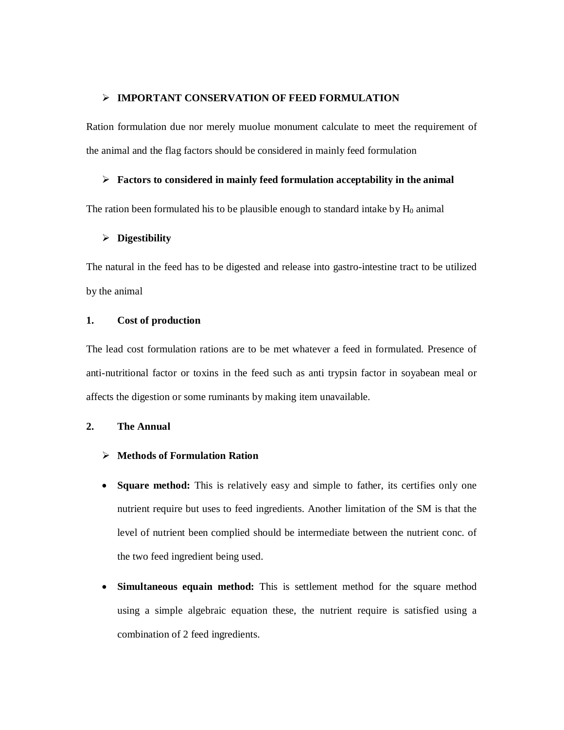### **IMPORTANT CONSERVATION OF FEED FORMULATION**

Ration formulation due nor merely muolue monument calculate to meet the requirement of the animal and the flag factors should be considered in mainly feed formulation

#### **Factors to considered in mainly feed formulation acceptability in the animal**

The ration been formulated his to be plausible enough to standard intake by  $H_0$  animal

### **Digestibility**

The natural in the feed has to be digested and release into gastro-intestine tract to be utilized by the animal

# **1. Cost of production**

The lead cost formulation rations are to be met whatever a feed in formulated. Presence of anti-nutritional factor or toxins in the feed such as anti trypsin factor in soyabean meal or affects the digestion or some ruminants by making item unavailable.

# **2. The Annual**

- **Methods of Formulation Ration**
- Square method: This is relatively easy and simple to father, its certifies only one nutrient require but uses to feed ingredients. Another limitation of the SM is that the level of nutrient been complied should be intermediate between the nutrient conc. of the two feed ingredient being used.
- **Simultaneous equain method:** This is settlement method for the square method using a simple algebraic equation these, the nutrient require is satisfied using a combination of 2 feed ingredients.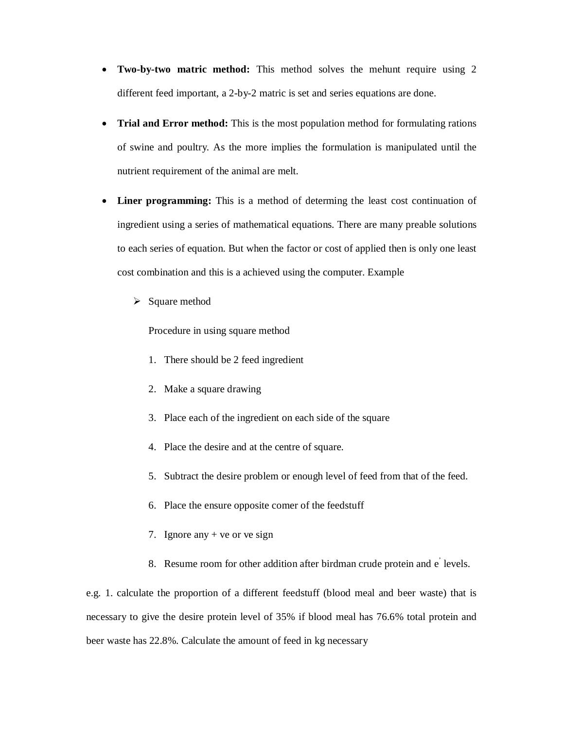- Two-by-two matric method: This method solves the mehunt require using 2 different feed important, a 2-by-2 matric is set and series equations are done.
- **Trial and Error method:** This is the most population method for formulating rations of swine and poultry. As the more implies the formulation is manipulated until the nutrient requirement of the animal are melt.
- Liner programming: This is a method of determing the least cost continuation of ingredient using a series of mathematical equations. There are many preable solutions to each series of equation. But when the factor or cost of applied then is only one least cost combination and this is a achieved using the computer. Example
	- $\triangleright$  Square method

Procedure in using square method

- 1. There should be 2 feed ingredient
- 2. Make a square drawing
- 3. Place each of the ingredient on each side of the square
- 4. Place the desire and at the centre of square.
- 5. Subtract the desire problem or enough level of feed from that of the feed.
- 6. Place the ensure opposite comer of the feedstuff
- 7. Ignore any + ve or ve sign
- 8. Resume room for other addition after birdman crude protein and e' levels.

e.g. 1. calculate the proportion of a different feedstuff (blood meal and beer waste) that is necessary to give the desire protein level of 35% if blood meal has 76.6% total protein and beer waste has 22.8%. Calculate the amount of feed in kg necessary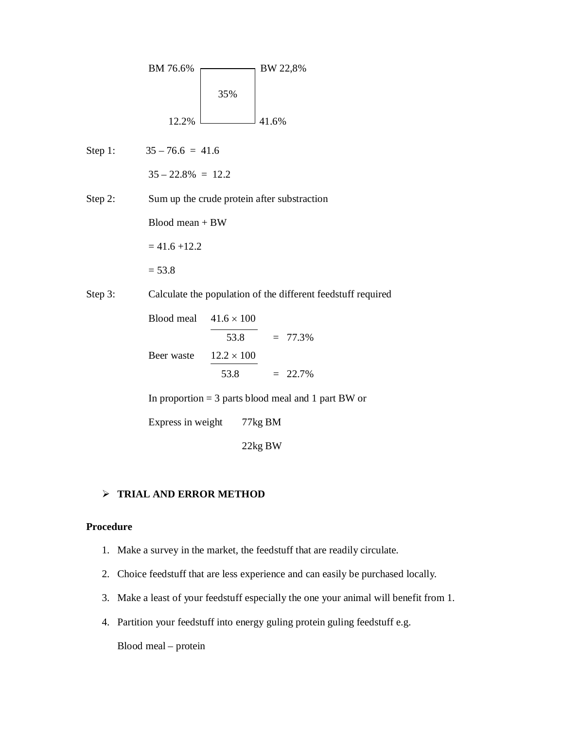

Step 1:  $35 - 76.6 = 41.6$ 

 $35 - 22.8\% = 12.2$ 

Step 2: Sum up the crude protein after substraction

Blood mean + BW

 $= 41.6 + 12.2$ 

 $= 53.8$ 

Step 3: Calculate the population of the different feedstuff required

Blood meal  $41.6 \times 100$ 53.8  $= 77.3\%$ Beer waste  $12.2 \times 100$ 53.8  $= 22.7\%$ 

In proportion = 3 parts blood meal and 1 part BW or

Express in weight 77kg BM

22kg BW

# **TRIAL AND ERROR METHOD**

# **Procedure**

- 1. Make a survey in the market, the feedstuff that are readily circulate.
- 2. Choice feedstuff that are less experience and can easily be purchased locally.
- 3. Make a least of your feedstuff especially the one your animal will benefit from 1.
- 4. Partition your feedstuff into energy guling protein guling feedstuff e.g.

Blood meal – protein